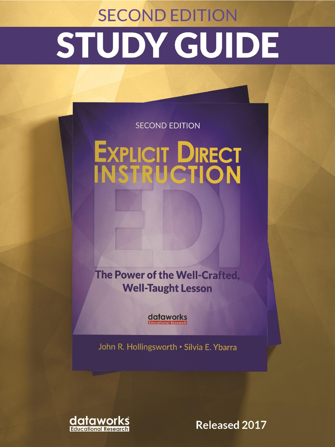# **SECOND EDITION** STUDY GUIDE

#### **SECOND EDITION**

# EXPLICIT DIRECT<br>INSTRUCTION

**The Power of the Well-Crafted. Well-Taught Lesson** 



John R. Hollingsworth . Silvia E. Ybarra



**Released 2017**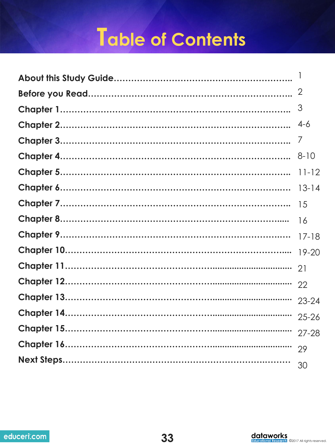# Table of Contents

| 2         |
|-----------|
| 3         |
| $4 - 6$   |
| 7         |
| $8 - 10$  |
| $11 - 12$ |
| $13 - 14$ |
| 15        |
| 16        |
| $17 - 18$ |
| $19 - 20$ |
| 21        |
| 22        |
| $23 - 24$ |
| $25 - 26$ |
| $27 - 28$ |
| 29        |
| 30        |
|           |

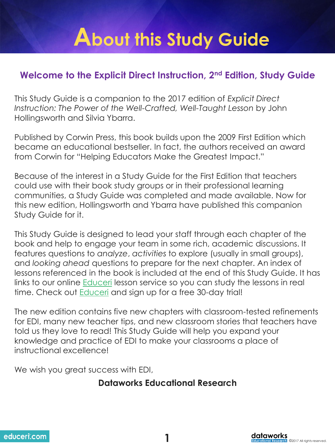### **About this Study Guide**

#### **Welcome to the Explicit Direct Instruction, 2nd Edition, Study Guide**

This Study Guide is a companion to the 2017 edition of *Explicit Direct Instruction: The Power of the Well-Crafted, Well-Taught Lesson* by John Hollingsworth and Silvia Ybarra.

Published by Corwin Press, this book builds upon the 2009 First Edition which became an educational bestseller. In fact, the authors received an award from Corwin for "Helping Educators Make the Greatest Impact."

Because of the interest in a Study Guide for the First Edition that teachers could use with their book study groups or in their professional learning communities, a Study Guide was completed and made available. Now for this new edition, Hollingsworth and Ybarra have published this companion Study Guide for it.

This Study Guide is designed to lead your staff through each chapter of the book and help to engage your team in some rich, academic discussions. It features questions to *analyze*, *activities* to explore (usually in small groups), and *looking ahead* questions to prepare for the next chapter. An index of lessons referenced in the book is included at the end of this Study Guide. It has links to our online [Educeri](http://www.educeri.com/) lesson service so you can study the lessons in real time. Check out **[Educeri](http://www.educeri.com/)** and sign up for a free 30-day trial!

The new edition contains five new chapters with classroom-tested refinements for EDI, many new teacher tips, and new classroom stories that teachers have told us they love to read! This Study Guide will help you expand your knowledge and practice of EDI to make your classrooms a place of instructional excellence!

We wish you great success with EDI,

#### **Dataworks Educational Research**

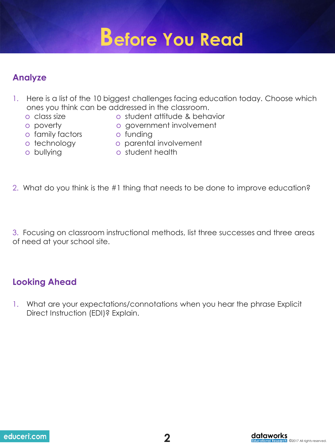### **Before You Read**

#### **Analyze**

- 1. Here is a list of the 10 biggest challenges facing education today. Choose which ones you think can be addressed in the classroom.
	-
	- o class size o student attitude & behavior
	-
	- o poverty<br>
	o government involvement<br>
	o funding o poverty<br>o family factors<br>o technology
	-
	-
- 
- o parental involvement
- o bullying o student health
- 2. What do you think is the #1 thing that needs to be done to improve education?

3. Focusing on classroom instructional methods, list three successes and three areas of need at your school site.

#### **Looking Ahead**

1. What are your expectations/connotations when you hear the phrase Explicit Direct Instruction (EDI)? Explain.

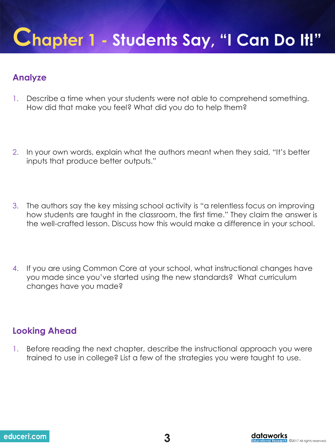# **Chapter 1 - Students Say, "I Can Do It!"**

#### **Analyze**

- 1. Describe a time when your students were not able to comprehend something. How did that make you feel? What did you do to help them?
- 2. In your own words, explain what the authors meant when they said, "It's better inputs that produce better outputs."
- 3. The authors say the key missing school activity is "a relentless focus on improving how students are taught in the classroom, the first time." They claim the answer is the well-crafted lesson. Discuss how this would make a difference in your school.
- 4. If you are using Common Core at your school, what instructional changes have you made since you've started using the new standards? What curriculum changes have you made?

#### **Looking Ahead**

1. Before reading the next chapter, describe the instructional approach you were trained to use in college? List a few of the strategies you were taught to use.

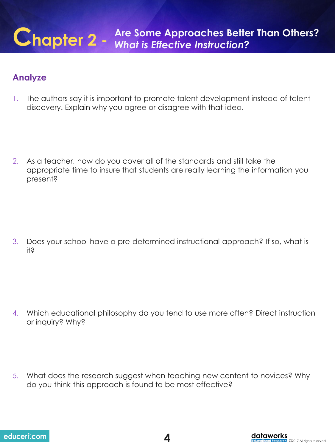#### **Chapter 2 -** *What is Effective Instruction?***Are Some Approaches Better Than Others?**

#### **Analyze**

- 1. The authors say it is important to promote talent development instead of talent discovery. Explain why you agree or disagree with that idea.
- 2. As a teacher, how do you cover all of the standards and still take the appropriate time to insure that students are really learning the information you present?

3. Does your school have a pre-determined instructional approach? If so, what is it?

- 4. Which educational philosophy do you tend to use more often? Direct instruction or inquiry? Why?
- 5. What does the research suggest when teaching new content to novices? Why do you think this approach is found to be most effective?



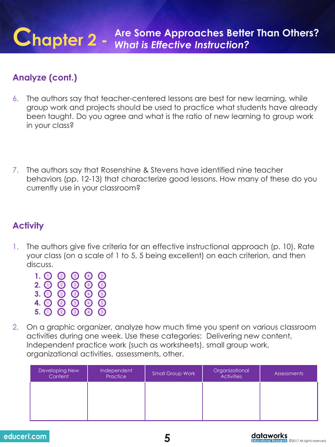#### **Chapter 2 - Are Some Approaches Better Than Others?**  *What is Effective Instruction?*

#### **Analyze (cont.)**

- 6. The authors say that teacher-centered lessons are best for new learning, while group work and projects should be used to practice what students have already been taught. Do you agree and what is the ratio of new learning to group work in your class?
- 7. The authors say that Rosenshine & Stevens have identified nine teacher behaviors (pp. 12-13) that characterize good lessons. How many of these do you currently use in your classroom?

#### **Activity**

- 1. The authors give five criteria for an effective instructional approach (p. 10). Rate your class (on a scale of 1 to 5, 5 being excellent) on each criterion, and then discuss.
	- **1. 2. 3. 4.**  1 1 1 1 2 2 2 2 3 3 3 3 4 4 4 4 5 5 5 5
	- **5.** 1 2 3 4 5
- 2. On a graphic organizer, analyze how much time you spent on various classroom activities during one week. Use these categories: Delivering new content, Independent practice work (such as worksheets), small group work, organizational activities, assessments, other.

| Developing New<br>Content | Independent<br>Practice | <b>Small Group Work</b> | Organizational<br><b>Activities</b> | <b>Assessments</b> |
|---------------------------|-------------------------|-------------------------|-------------------------------------|--------------------|
|                           |                         |                         |                                     |                    |
|                           |                         |                         |                                     |                    |
|                           |                         |                         |                                     |                    |

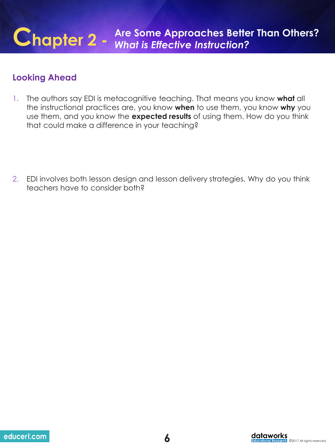#### **Chapter 2 - Are Some Approaches Better Than Others?**  *What is Effective Instruction?*

#### **Looking Ahead**

- 1. The authors say EDI is metacognitive teaching. That means you know **what** all the instructional practices are, you know **when** to use them, you know **why** you use them, and you know the **expected results** of using them. How do you think that could make a difference in your teaching?
- 2. EDI involves both lesson design and lesson delivery strategies. Why do you think teachers have to consider both?



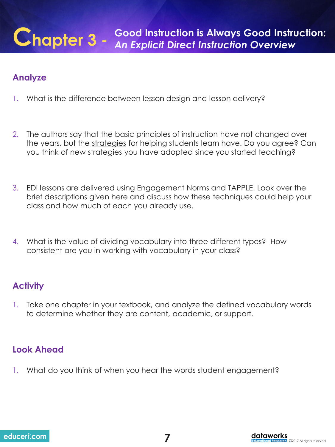#### **Chapter 3 - Good Instruction is Always Good Instruction:** *An Explicit Direct Instruction Overview*

#### **Analyze**

- 1. What is the difference between lesson design and lesson delivery?
- 2. The authors say that the basic principles of instruction have not changed over the years, but the strategies for helping students learn have. Do you agree? Can you think of new strategies you have adopted since you started teaching?
- 3. EDI lessons are delivered using Engagement Norms and TAPPLE. Look over the brief descriptions given here and discuss how these techniques could help your class and how much of each you already use.
- 4. What is the value of dividing vocabulary into three different types? How consistent are you in working with vocabulary in your class?

#### **Activity**

1. Take one chapter in your textbook, and analyze the defined vocabulary words to determine whether they are content, academic, or support.

#### **Look Ahead**

1. What do you think of when you hear the words student engagement?



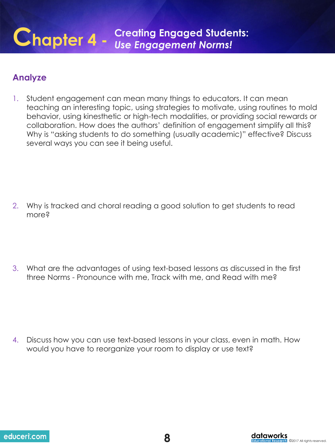#### **Chapter 4 - Creating Engaged Students:**  *Use Engagement Norms!*

#### **Analyze**

1. Student engagement can mean many things to educators. It can mean teaching an interesting topic, using strategies to motivate, using routines to mold behavior, using kinesthetic or high-tech modalities, or providing social rewards or collaboration. How does the authors' definition of engagement simplify all this? Why is "asking students to do something (usually academic)" effective? Discuss several ways you can see it being useful.

- 2. Why is tracked and choral reading a good solution to get students to read more?
- 3. What are the advantages of using text-based lessons as discussed in the first three Norms - Pronounce with me, Track with me, and Read with me?

4. Discuss how you can use text-based lessons in your class, even in math. How would you have to reorganize your room to display or use text?

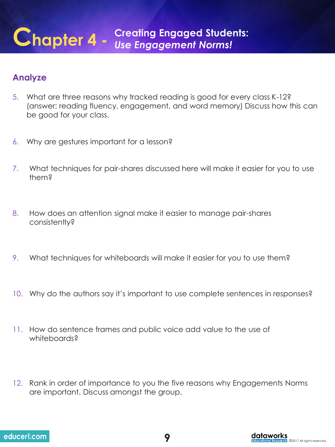#### **Chapter 4 - Creating Engaged Students:**  *Use Engagement Norms!*

- 5. What are three reasons why tracked reading is good for every class K-12? (answer: reading fluency, engagement, and word memory) Discuss how this can be good for your class.
- 6. Why are gestures important for a lesson?
- 7. What techniques for pair-shares discussed here will make it easier for you to use them?
- 8. How does an attention signal make it easier to manage pair-shares consistently?
- 9. What techniques for whiteboards will make it easier for you to use them?
- 10. Why do the authors say it's important to use complete sentences in responses?
- 11. How do sentence frames and public voice add value to the use of whiteboards?
- 12. Rank in order of importance to you the five reasons why Engagements Norms are important. Discuss amongst the group.





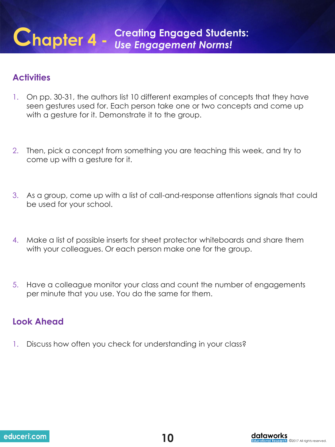#### **Chapter 4 - Creating Engaged Students:**  *Use Engagement Norms!*

#### **Activities**

- 1. On pp. 30-31, the authors list 10 different examples of concepts that they have seen gestures used for. Each person take one or two concepts and come up with a gesture for it. Demonstrate it to the group.
- 2. Then, pick a concept from something you are teaching this week, and try to come up with a gesture for it.
- 3. As a group, come up with a list of call-and-response attentions signals that could be used for your school.
- 4. Make a list of possible inserts for sheet protector whiteboards and share them with your colleagues. Or each person make one for the group.
- 5. Have a colleague monitor your class and count the number of engagements per minute that you use. You do the same for them.

#### **Look Ahead**

1. Discuss how often you check for understanding in your class?



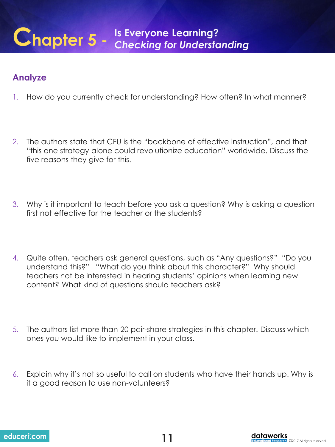#### **Chapter 5 - Is Everyone Learning?**  *Checking for Understanding*

- 1. How do you currently check for understanding? How often? In what manner?
- 2. The authors state that CFU is the "backbone of effective instruction", and that "this one strategy alone could revolutionize education" worldwide. Discuss the five reasons they give for this.
- 3. Why is it important to teach before you ask a question? Why is asking a question first not effective for the teacher or the students?
- 4. Quite often, teachers ask general questions, such as "Any questions?" "Do you understand this?" "What do you think about this character?" Why should teachers not be interested in hearing students' opinions when learning new content? What kind of questions should teachers ask?
- 5. The authors list more than 20 pair-share strategies in this chapter. Discuss which ones you would like to implement in your class.
- 6. Explain why it's not so useful to call on students who have their hands up. Why is it a good reason to use non-volunteers?



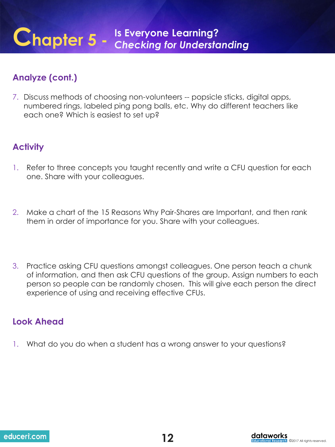#### **Chapter 5 - Is Everyone Learning?**  *Checking for Understanding*

#### **Analyze (cont.)**

7. Discuss methods of choosing non-volunteers -- popsicle sticks, digital apps, numbered rings, labeled ping pong balls, etc. Why do different teachers like each one? Which is easiest to set up?

#### **Activity**

- 1. Refer to three concepts you taught recently and write a CFU question for each one. Share with your colleagues.
- 2. Make a chart of the 15 Reasons Why Pair-Shares are Important, and then rank them in order of importance for you. Share with your colleagues.
- 3. Practice asking CFU questions amongst colleagues. One person teach a chunk of information, and then ask CFU questions of the group. Assign numbers to each person so people can be randomly chosen. This will give each person the direct experience of using and receiving effective CFUs.

#### **Look Ahead**

1. What do you do when a student has a wrong answer to your questions?

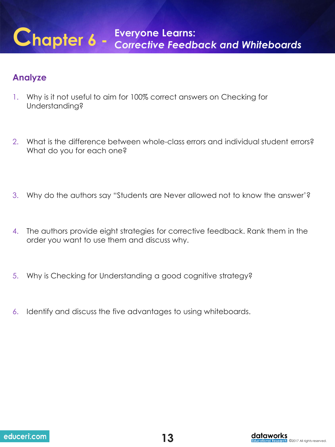#### **Chapter 6 -** *Corrective Feedback and Whiteboards* **Everyone Learns:**

- 1. Why is it not useful to aim for 100% correct answers on Checking for Understanding?
- 2. What is the difference between whole-class errors and individual student errors? What do you for each one?
- 3. Why do the authors say "Students are Never allowed not to know the answer'?
- 4. The authors provide eight strategies for corrective feedback. Rank them in the order you want to use them and discuss why.
- 5. Why is Checking for Understanding a good cognitive strategy?
- 6. Identify and discuss the five advantages to using whiteboards.

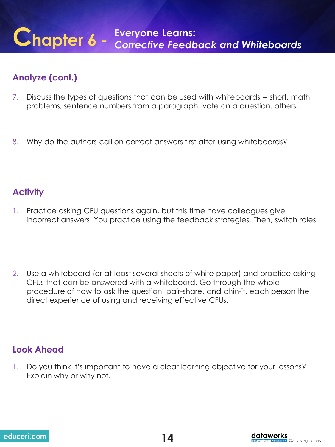#### **Chapter 6 - Everyone Learns:**  *Corrective Feedback and Whiteboards*

#### **Analyze (cont.)**

- 7. Discuss the types of questions that can be used with whiteboards -- short, math problems, sentence numbers from a paragraph, vote on a question, others.
- 8. Why do the authors call on correct answers first after using whiteboards?

#### **Activity**

1. Practice asking CFU questions again, but this time have colleagues give incorrect answers. You practice using the feedback strategies. Then, switch roles.

2. Use a whiteboard (or at least several sheets of white paper) and practice asking CFUs that can be answered with a whiteboard. Go through the whole procedure of how to ask the question, pair-share, and chin-it. each person the direct experience of using and receiving effective CFUs.

#### **Look Ahead**

1. Do you think it's important to have a clear learning objective for your lessons? Explain why or why not.

educeri.com

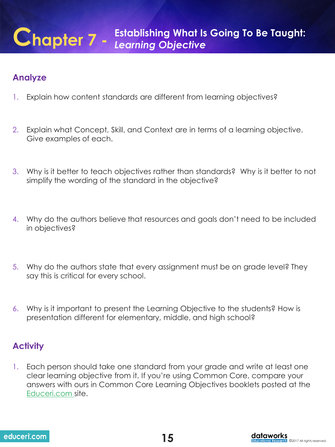#### **Chapter 7 - Establishing What Is Going To Be Taught:**  *Learning Objective*

#### **Analyze**

- 1. Explain how content standards are different from learning objectives?
- 2. Explain what Concept, Skill, and Context are in terms of a learning objective. Give examples of each.
- 3. Why is it better to teach objectives rather than standards? Why is it better to not simplify the wording of the standard in the objective?
- 4. Why do the authors believe that resources and goals don't need to be included in objectives?
- 5. Why do the authors state that every assignment must be on grade level? They say this is critical for every school.
- 6. Why is it important to present the Learning Objective to the students? How is presentation different for elementary, middle, and high school?

#### **Activity**

1. Each person should take one standard from your grade and write at least one clear learning objective from it. If you're using Common Core, compare your answers with ours in Common Core Learning Objectives booklets posted at the [Educeri.com s](educeri.com)ite.





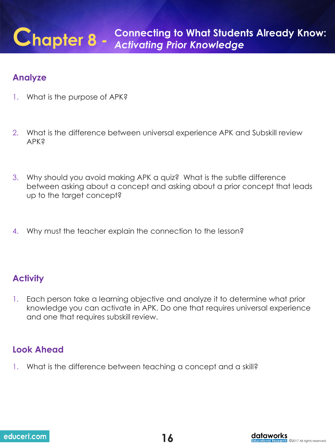#### **Chapter 8 - Connecting to What Students Already Know:**  *Activating Prior Knowledge*

#### **Analyze**

- 1. What is the purpose of APK?
- 2. What is the difference between universal experience APK and Subskill review APK?
- 3. Why should you avoid making APK a quiz? What is the subtle difference between asking about a concept and asking about a prior concept that leads up to the target concept?
- 4. Why must the teacher explain the connection to the lesson?

#### **Activity**

1. Each person take a learning objective and analyze it to determine what prior knowledge you can activate in APK. Do one that requires universal experience and one that requires subskill review.

#### **Look Ahead**

1. What is the difference between teaching a concept and a skill?

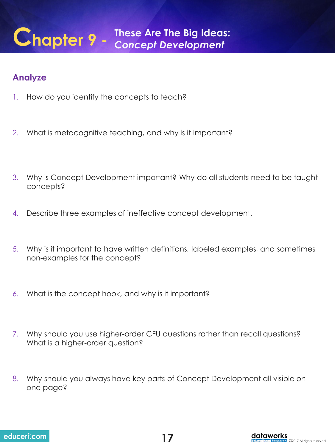#### Chapter 9 - These Are The Big Ideas: *Concept Development*

- 1. How do you identify the concepts to teach?
- 2. What is metacognitive teaching, and why is it important?
- 3. Why is Concept Development important? Why do all students need to be taught concepts?
- 4. Describe three examples of ineffective concept development.
- 5. Why is it important to have written definitions, labeled examples, and sometimes non-examples for the concept?
- 6. What is the concept hook, and why is it important?
- 7. Why should you use higher-order CFU questions rather than recall questions? What is a higher-order question?
- 8. Why should you always have key parts of Concept Development all visible on one page?



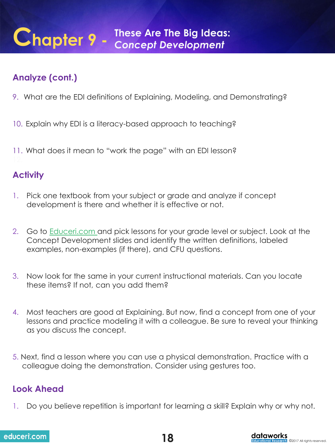#### Chapter 9 - These Are The Big Ideas **These Are The Big Ideas:**

#### **Analyze (cont.)**

- 9. What are the EDI definitions of Explaining, Modeling, and Demonstrating?
- 10. Explain why EDI is a literacy-based approach to teaching?
- 11. What does it mean to "work the page" with an EDI lesson?

#### **Activity**

- 1. Pick one textbook from your subject or grade and analyze if concept development is there and whether it is effective or not.
- 2. Go to [Educeri.com a](http://www.educeri.com/)nd pick lessons for your grade level or subject. Look at the Concept Development slides and identify the written definitions, labeled examples, non-examples (if there), and CFU questions.
- 3. Now look for the same in your current instructional materials. Can you locate these items? If not, can you add them?
- 4. Most teachers are good at Explaining. But now, find a concept from one of your lessons and practice modeling it with a colleague. Be sure to reveal your thinking as you discuss the concept.
- 5. Next, find a lesson where you can use a physical demonstration. Practice with a colleague doing the demonstration. Consider using gestures too.

#### **Look Ahead**

1. Do you believe repetition is important for learning a skill? Explain why or why not.



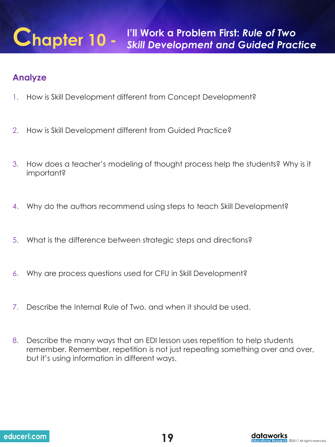#### **Chapter 10 - I'll Work a Problem First:** *Rule of Two Skill Development and Guided Practice*

- 1. How is Skill Development different from Concept Development?
- 2. How is Skill Development different from Guided Practice?
- 3. How does a teacher's modeling of thought process help the students? Why is it important?
- 4. Why do the authors recommend using steps to teach Skill Development?
- 5. What is the difference between strategic steps and directions?
- 6. Why are process questions used for CFU in Skill Development?
- 7. Describe the Internal Rule of Two. and when it should be used.
- 8. Describe the many ways that an EDI lesson uses repetition to help students remember. Remember, repetition is not just repeating something over and over, but it's using information in different ways.

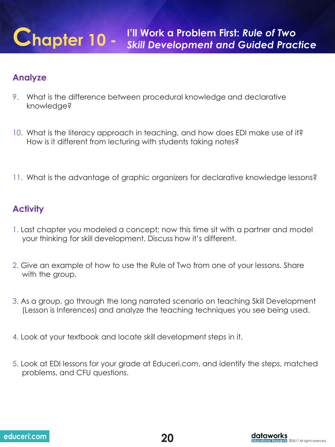#### **Chapter 10 - I'll Work a Problem First:** *Rule of Two Skill Development and Guided Practice*

#### **Analyze**

- 9. What is the difference between procedural knowledge and declarative knowledge?
- 10. What is the literacy approach in teaching, and how does EDI make use of it? How is it different from lecturing with students taking notes?
- 11. What is the advantage of graphic organizers for declarative knowledge lessons?

#### **Activity**

- 1. Last chapter you modeled a concept; now this time sit with a partner and model your thinking for skill development. Discuss how it's different.
- 2. Give an example of how to use the Rule of Two from one of your lessons. Share with the group.
- 3. As a group, go through the long narrated scenario on teaching Skill Development (Lesson is Inferences) and analyze the teaching techniques you see being used.
- 4. Look at your textbook and locate skill development steps in it.
- 5. Look at EDI lessons for your grade at Educeri.com, and identify the steps, matched problems, and CFU questions.



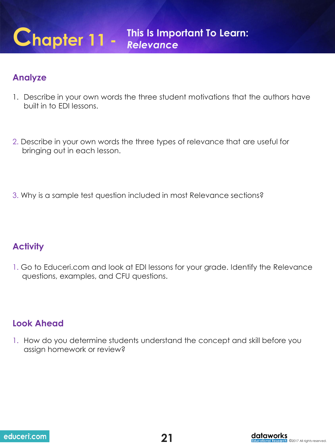#### **Chapter 11 -** *Relevance* **This Is Important To Learn:**

#### **Analyze**

- 1. Describe in your own words the three student motivations that the authors have built in to EDI lessons.
- 2. Describe in your own words the three types of relevance that are useful for bringing out in each lesson.
- 3. Why is a sample test question included in most Relevance sections?

#### **Activity**

1. Go to Educeri.com and look at EDI lessons for your grade. Identify the Relevance questions, examples, and CFU questions.

#### **Look Ahead**

1. How do you determine students understand the concept and skill before you assign homework or review?

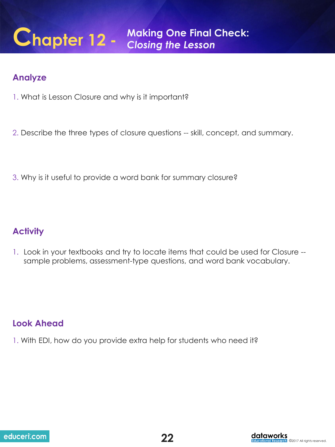#### Chapter 12 - Making One Final Check: *Closing the Lesson*

#### **Analyze**

- 1. What is Lesson Closure and why is it important?
- 2. Describe the three types of closure questions -- skill, concept, and summary.
- 3. Why is it useful to provide a word bank for summary closure?

#### **Activity**

1. Look in your textbooks and try to locate items that could be used for Closure - sample problems, assessment-type questions, and word bank vocabulary.

#### **Look Ahead**

1. With EDI, how do you provide extra help for students who need it?

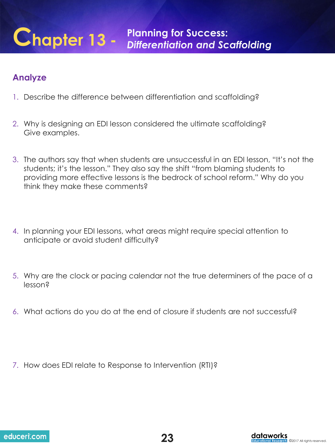#### **Chapter 13 - Planning for Success:**  *Differentiation and Scaffolding*

- 1. Describe the difference between differentiation and scaffolding?
- 2. Why is designing an EDI lesson considered the ultimate scaffolding? Give examples.
- 3. The authors say that when students are unsuccessful in an EDI lesson, "It's not the students; it's the lesson." They also say the shift "from blaming students to providing more effective lessons is the bedrock of school reform." Why do you think they make these comments?
- 4. In planning your EDI lessons, what areas might require special attention to anticipate or avoid student difficulty?
- 5. Why are the clock or pacing calendar not the true determiners of the pace of a lesson?
- 6. What actions do you do at the end of closure if students are not successful?
- 7. How does EDI relate to Response to Intervention (RTI)?

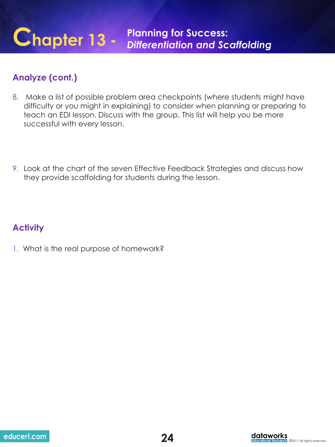#### **Chapter 13 - Planning for Success:**  *Differentiation and Scaffolding*

#### **Analyze (cont.)**

- 8. Make a list of possible problem area checkpoints (where students might have difficulty or you might in explaining) to consider when planning or preparing to teach an EDI lesson. Discuss with the group. This list will help you be more successful with every lesson.
- 9. Look at the chart of the seven Effective Feedback Strategies and discuss how they provide scaffolding for students during the lesson.

#### **Activity**

1. What is the real purpose of homework?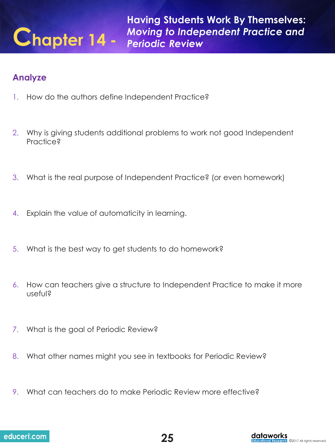# **Chapter 14 -** *Periodic Review*

- 1. How do the authors define Independent Practice?
- 2. Why is giving students additional problems to work not good Independent Practice?
- 3. What is the real purpose of Independent Practice? (or even homework)
- 4. Explain the value of automaticity in learning.
- 5. What is the best way to get students to do homework?
- 6. How can teachers give a structure to Independent Practice to make it more useful?
- 7. What is the goal of Periodic Review?
- 8. What other names might you see in textbooks for Periodic Review?
- 9. What can teachers do to make Periodic Review more effective?



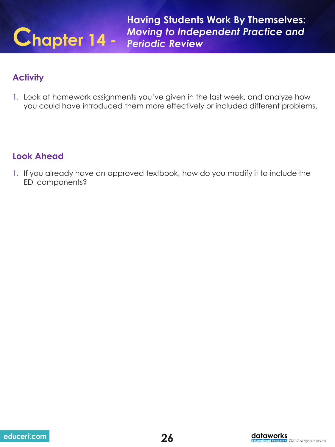# **Chapter 14 -**

**Having Students Work By Themselves:**  *Moving to Independent Practice and Periodic Review*

#### **Activity**

1. Look at homework assignments you've given in the last week, and analyze how you could have introduced them more effectively or included different problems.

#### **Look Ahead**

1. If you already have an approved textbook, how do you modify it to include the EDI components?

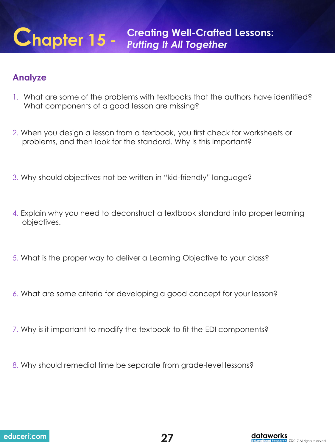#### **Chapter 15 -** *Putting It All Together* **Creating Well-Crafted Lessons:**

- 1. What are some of the problems with textbooks that the authors have identified? What components of a good lesson are missing?
- 2. When you design a lesson from a textbook, you first check for worksheets or problems, and then look for the standard. Why is this important?
- 3. Why should objectives not be written in "kid-friendly" language?
- 4. Explain why you need to deconstruct a textbook standard into proper learning objectives.
- 5. What is the proper way to deliver a Learning Objective to your class?
- 6. What are some criteria for developing a good concept for your lesson?
- 7. Why is it important to modify the textbook to fit the EDI components?
- 8. Why should remedial time be separate from grade-level lessons?

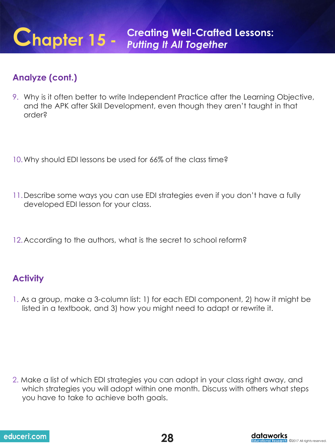#### **Chapter 15 -** *Putting It All Together* **Creating Well-Crafted Lessons:**

#### **Analyze (cont.)**

9. Why is it often better to write Independent Practice after the Learning Objective, and the APK after Skill Development, even though they aren't taught in that order?

10.Why should EDI lessons be used for 66% of the class time?

- 11.Describe some ways you can use EDI strategies even if you don't have a fully developed EDI lesson for your class.
- 12.According to the authors, what is the secret to school reform?

#### **Activity**

1. As a group, make a 3-column list: 1) for each EDI component, 2) how it might be listed in a textbook, and 3) how you might need to adapt or rewrite it.

2. Make a list of which EDI strategies you can adopt in your class right away, and which strategies you will adopt within one month. Discuss with others what steps you have to take to achieve both goals.



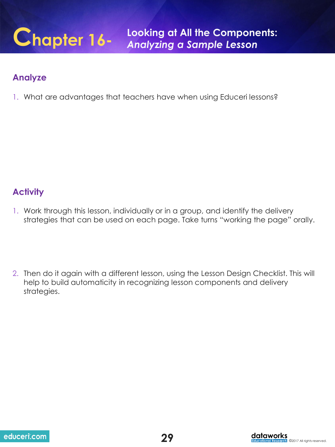# **Chapter 16-**

**Looking at All the Components:**  *Analyzing a Sample Lesson*

#### **Analyze**

1. What are advantages that teachers have when using Educeri lessons?

#### **Activity**

- 1. Work through this lesson, individually or in a group, and identify the delivery strategies that can be used on each page. Take turns "working the page" orally.
- 2. Then do it again with a different lesson, using the Lesson Design Checklist. This will help to build automaticity in recognizing lesson components and delivery strategies.

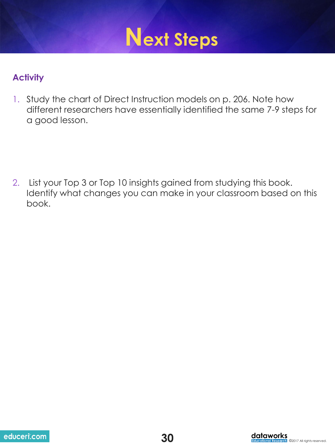

#### **Activity**

1. Study the chart of Direct Instruction models on p. 206. Note how different researchers have essentially identified the same 7-9 steps for a good lesson.

2. List your Top 3 or Top 10 insights gained from studying this book. Identify what changes you can make in your classroom based on this book.

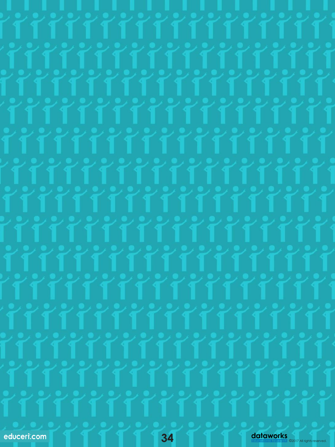educeri.com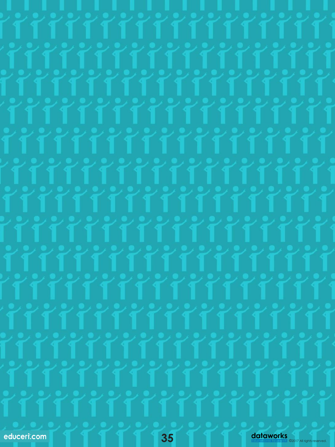educeri.com